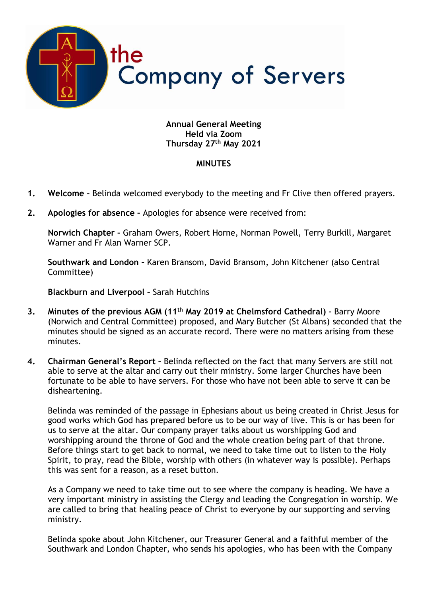

## **Annual General Meeting Held via Zoom Thursday 27th May 2021**

## **MINUTES**

- **1. Welcome -** Belinda welcomed everybody to the meeting and Fr Clive then offered prayers.
- **2. Apologies for absence –** Apologies for absence were received from:

**Norwich Chapter –** Graham Owers, Robert Horne, Norman Powell, Terry Burkill, Margaret Warner and Fr Alan Warner SCP.

**Southwark and London –** Karen Bransom, David Bransom, John Kitchener (also Central Committee)

**Blackburn and Liverpool –** Sarah Hutchins

- **3. Minutes of the previous AGM (11th May 2019 at Chelmsford Cathedral) –** Barry Moore (Norwich and Central Committee) proposed, and Mary Butcher (St Albans) seconded that the minutes should be signed as an accurate record. There were no matters arising from these minutes.
- **4. Chairman General's Report –** Belinda reflected on the fact that many Servers are still not able to serve at the altar and carry out their ministry. Some larger Churches have been fortunate to be able to have servers. For those who have not been able to serve it can be disheartening.

Belinda was reminded of the passage in Ephesians about us being created in Christ Jesus for good works which God has prepared before us to be our way of live. This is or has been for us to serve at the altar. Our company prayer talks about us worshipping God and worshipping around the throne of God and the whole creation being part of that throne. Before things start to get back to normal, we need to take time out to listen to the Holy Spirit, to pray, read the Bible, worship with others (in whatever way is possible). Perhaps this was sent for a reason, as a reset button.

As a Company we need to take time out to see where the company is heading. We have a very important ministry in assisting the Clergy and leading the Congregation in worship. We are called to bring that healing peace of Christ to everyone by our supporting and serving ministry.

Belinda spoke about John Kitchener, our Treasurer General and a faithful member of the Southwark and London Chapter, who sends his apologies, who has been with the Company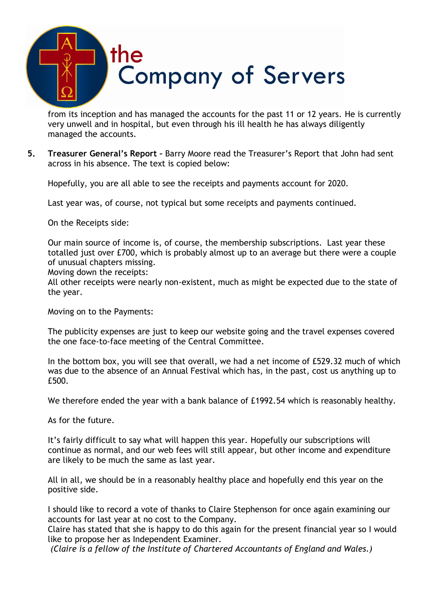

from its inception and has managed the accounts for the past 11 or 12 years. He is currently very unwell and in hospital, but even through his ill health he has always diligently managed the accounts.

**5. Treasurer General's Report –** Barry Moore read the Treasurer's Report that John had sent across in his absence. The text is copied below:

Hopefully, you are all able to see the receipts and payments account for 2020.

Last year was, of course, not typical but some receipts and payments continued.

On the Receipts side:

Our main source of income is, of course, the membership subscriptions. Last year these totalled just over £700, which is probably almost up to an average but there were a couple of unusual chapters missing.

Moving down the receipts:

All other receipts were nearly non-existent, much as might be expected due to the state of the year.

Moving on to the Payments:

The publicity expenses are just to keep our website going and the travel expenses covered the one face-to-face meeting of the Central Committee.

In the bottom box, you will see that overall, we had a net income of £529.32 much of which was due to the absence of an Annual Festival which has, in the past, cost us anything up to £500.

We therefore ended the year with a bank balance of £1992.54 which is reasonably healthy.

As for the future.

It's fairly difficult to say what will happen this year. Hopefully our subscriptions will continue as normal, and our web fees will still appear, but other income and expenditure are likely to be much the same as last year.

All in all, we should be in a reasonably healthy place and hopefully end this year on the positive side.

I should like to record a vote of thanks to Claire Stephenson for once again examining our accounts for last year at no cost to the Company.

Claire has stated that she is happy to do this again for the present financial year so I would like to propose her as Independent Examiner.

*(Claire is a fellow of the Institute of Chartered Accountants of England and Wales.)*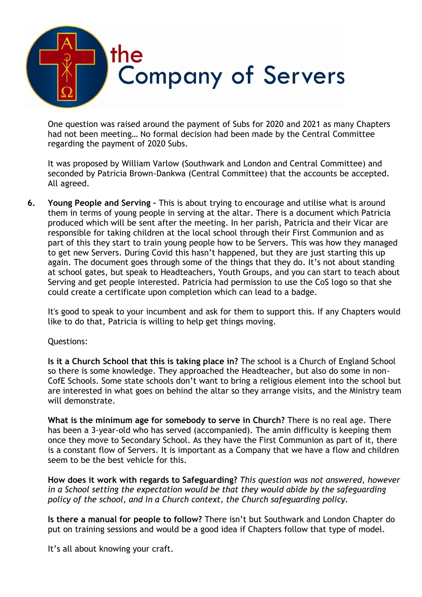

One question was raised around the payment of Subs for 2020 and 2021 as many Chapters had not been meeting… No formal decision had been made by the Central Committee regarding the payment of 2020 Subs.

It was proposed by William Varlow (Southwark and London and Central Committee) and seconded by Patricia Brown-Dankwa (Central Committee) that the accounts be accepted. All agreed.

**6. Young People and Serving –** This is about trying to encourage and utilise what is around them in terms of young people in serving at the altar. There is a document which Patricia produced which will be sent after the meeting. In her parish, Patricia and their Vicar are responsible for taking children at the local school through their First Communion and as part of this they start to train young people how to be Servers. This was how they managed to get new Servers. During Covid this hasn't happened, but they are just starting this up again. The document goes through some of the things that they do. It's not about standing at school gates, but speak to Headteachers, Youth Groups, and you can start to teach about Serving and get people interested. Patricia had permission to use the CoS logo so that she could create a certificate upon completion which can lead to a badge.

It's good to speak to your incumbent and ask for them to support this. If any Chapters would like to do that, Patricia is willing to help get things moving.

## Questions:

**Is it a Church School that this is taking place in?** The school is a Church of England School so there is some knowledge. They approached the Headteacher, but also do some in non-CofE Schools. Some state schools don't want to bring a religious element into the school but are interested in what goes on behind the altar so they arrange visits, and the Ministry team will demonstrate.

**What is the minimum age for somebody to serve in Church?** There is no real age. There has been a 3-year-old who has served (accompanied). The amin difficulty is keeping them once they move to Secondary School. As they have the First Communion as part of it, there is a constant flow of Servers. It is important as a Company that we have a flow and children seem to be the best vehicle for this.

**How does it work with regards to Safeguarding?** *This question was not answered, however in a School setting the expectation would be that they would abide by the safeguarding policy of the school, and in a Church context, the Church safeguarding policy.*

**Is there a manual for people to follow?** There isn't but Southwark and London Chapter do put on training sessions and would be a good idea if Chapters follow that type of model.

It's all about knowing your craft.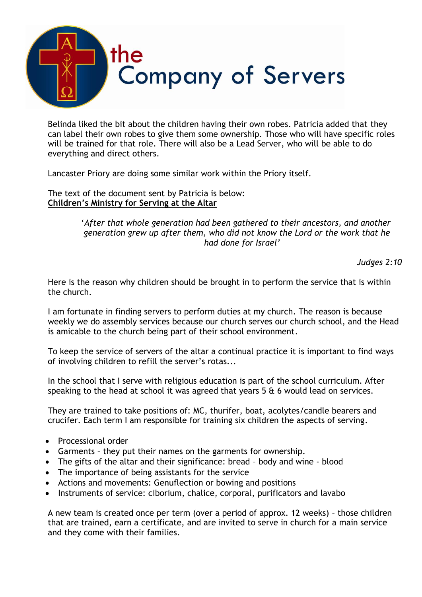

Belinda liked the bit about the children having their own robes. Patricia added that they can label their own robes to give them some ownership. Those who will have specific roles will be trained for that role. There will also be a Lead Server, who will be able to do everything and direct others.

Lancaster Priory are doing some similar work within the Priory itself.

The text of the document sent by Patricia is below: **Children's Ministry for Serving at the Altar**

> '*After that whole generation had been gathered to their ancestors, and another generation grew up after them, who did not know the Lord or the work that he had done for Israel'*

> > *Judges 2:10*

Here is the reason why children should be brought in to perform the service that is within the church.

I am fortunate in finding servers to perform duties at my church. The reason is because weekly we do assembly services because our church serves our church school, and the Head is amicable to the church being part of their school environment.

To keep the service of servers of the altar a continual practice it is important to find ways of involving children to refill the server's rotas...

In the school that I serve with religious education is part of the school curriculum. After speaking to the head at school it was agreed that years  $5 \& 6$  would lead on services.

They are trained to take positions of: MC, thurifer, boat, acolytes/candle bearers and crucifer. Each term I am responsible for training six children the aspects of serving.

- Processional order
- Garments they put their names on the garments for ownership.
- The gifts of the altar and their significance: bread body and wine blood
- The importance of being assistants for the service
- Actions and movements: Genuflection or bowing and positions
- Instruments of service: ciborium, chalice, corporal, purificators and lavabo

A new team is created once per term (over a period of approx. 12 weeks) – those children that are trained, earn a certificate, and are invited to serve in church for a main service and they come with their families.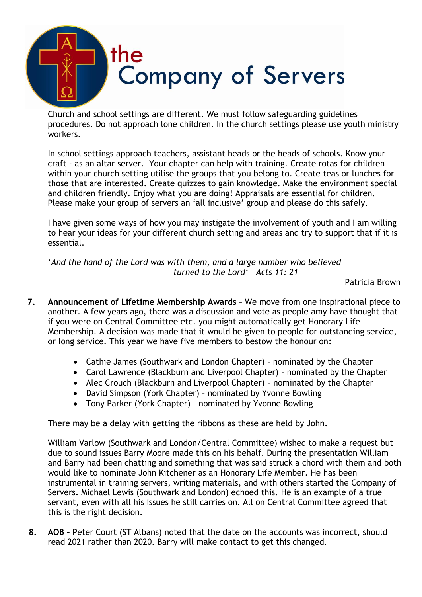

Church and school settings are different. We must follow safeguarding guidelines procedures. Do not approach lone children. In the church settings please use youth ministry workers.

In school settings approach teachers, assistant heads or the heads of schools. Know your craft - as an altar server. Your chapter can help with training. Create rotas for children within your church setting utilise the groups that you belong to. Create teas or lunches for those that are interested. Create quizzes to gain knowledge. Make the environment special and children friendly. Enjoy what you are doing! Appraisals are essential for children. Please make your group of servers an 'all inclusive' group and please do this safely.

I have given some ways of how you may instigate the involvement of youth and I am willing to hear your ideas for your different church setting and areas and try to support that if it is essential.

'*And the hand of the Lord was with them, and a large number who believed turned to the Lord' Acts 11: 21*

Patricia Brown

- **7. Announcement of Lifetime Membership Awards –** We move from one inspirational piece to another. A few years ago, there was a discussion and vote as people amy have thought that if you were on Central Committee etc. you might automatically get Honorary Life Membership. A decision was made that it would be given to people for outstanding service, or long service. This year we have five members to bestow the honour on:
	- Cathie James (Southwark and London Chapter) nominated by the Chapter
	- Carol Lawrence (Blackburn and Liverpool Chapter) nominated by the Chapter
	- Alec Crouch (Blackburn and Liverpool Chapter) nominated by the Chapter
	- David Simpson (York Chapter) nominated by Yvonne Bowling
	- Tony Parker (York Chapter) nominated by Yvonne Bowling

There may be a delay with getting the ribbons as these are held by John.

William Varlow (Southwark and London/Central Committee) wished to make a request but due to sound issues Barry Moore made this on his behalf. During the presentation William and Barry had been chatting and something that was said struck a chord with them and both would like to nominate John Kitchener as an Honorary Life Member. He has been instrumental in training servers, writing materials, and with others started the Company of Servers. Michael Lewis (Southwark and London) echoed this. He is an example of a true servant, even with all his issues he still carries on. All on Central Committee agreed that this is the right decision.

**8. AOB –** Peter Court (ST Albans) noted that the date on the accounts was incorrect, should read 2021 rather than 2020. Barry will make contact to get this changed.